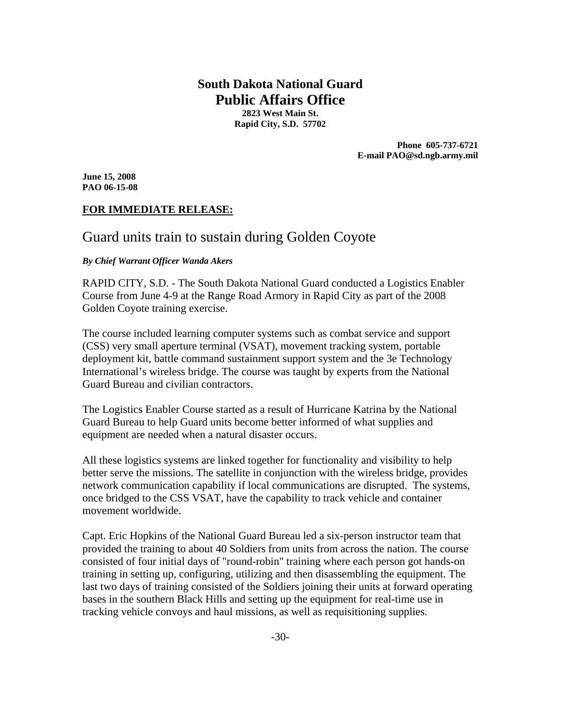# **South Dakota National Guard Public Affairs Office**

**2823 West Main St. Rapid City, S.D. 57702** 

> **Phone 605-737-6721 E-mail PAO@sd.ngb.army.mil**

**June 15, 2008 PAO 06-15-08** 

# **FOR IMMEDIATE RELEASE:**

# Guard units train to sustain during Golden Coyote

#### *By Chief Warrant Officer Wanda Akers*

RAPID CITY, S.D. - The South Dakota National Guard conducted a Logistics Enabler Course from June 4-9 at the Range Road Armory in Rapid City as part of the 2008 Golden Coyote training exercise.

The course included learning computer systems such as combat service and support (CSS) very small aperture terminal (VSAT), movement tracking system, portable deployment kit, battle command sustainment support system and the 3e Technology International's wireless bridge. The course was taught by experts from the National Guard Bureau and civilian contractors.

The Logistics Enabler Course started as a result of Hurricane Katrina by the National Guard Bureau to help Guard units become better informed of what supplies and equipment are needed when a natural disaster occurs.

All these logistics systems are linked together for functionality and visibility to help better serve the missions. The satellite in conjunction with the wireless bridge, provides network communication capability if local communications are disrupted. The systems, once bridged to the CSS VSAT, have the capability to track vehicle and container movement worldwide.

Capt. Eric Hopkins of the National Guard Bureau led a six-person instructor team that provided the training to about 40 Soldiers from units from across the nation. The course consisted of four initial days of "round-robin" training where each person got hands-on training in setting up, configuring, utilizing and then disassembling the equipment. The last two days of training consisted of the Soldiers joining their units at forward operating bases in the southern Black Hills and setting up the equipment for real-time use in tracking vehicle convoys and haul missions, as well as requisitioning supplies.